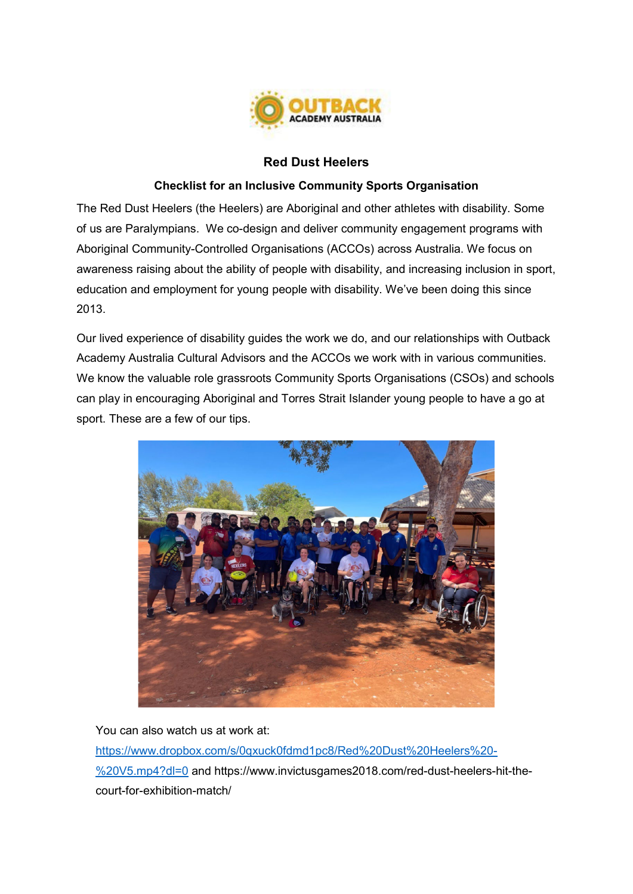

## **Red Dust Heelers**

## **Checklist for an Inclusive Community Sports Organisation**

The Red Dust Heelers (the Heelers) are Aboriginal and other athletes with disability. Some of us are Paralympians. We co-design and deliver community engagement programs with Aboriginal Community-Controlled Organisations (ACCOs) across Australia. We focus on awareness raising about the ability of people with disability, and increasing inclusion in sport, education and employment for young people with disability. We've been doing this since 2013.

Our lived experience of disability guides the work we do, and our relationships with Outback Academy Australia Cultural Advisors and the ACCOs we work with in various communities. We know the valuable role grassroots Community Sports Organisations (CSOs) and schools can play in encouraging Aboriginal and Torres Strait Islander young people to have a go at sport. These are a few of our tips.



You can also watch us at work at:

[https://www.dropbox.com/s/0qxuck0fdmd1pc8/Red%20Dust%20Heelers%20-](https://www.dropbox.com/s/0qxuck0fdmd1pc8/Red%20Dust%20Heelers%20-%20V5.mp4?dl=0) [%20V5.mp4?dl=0](https://www.dropbox.com/s/0qxuck0fdmd1pc8/Red%20Dust%20Heelers%20-%20V5.mp4?dl=0) and https://www.invictusgames2018.com/red-dust-heelers-hit-thecourt-for-exhibition-match/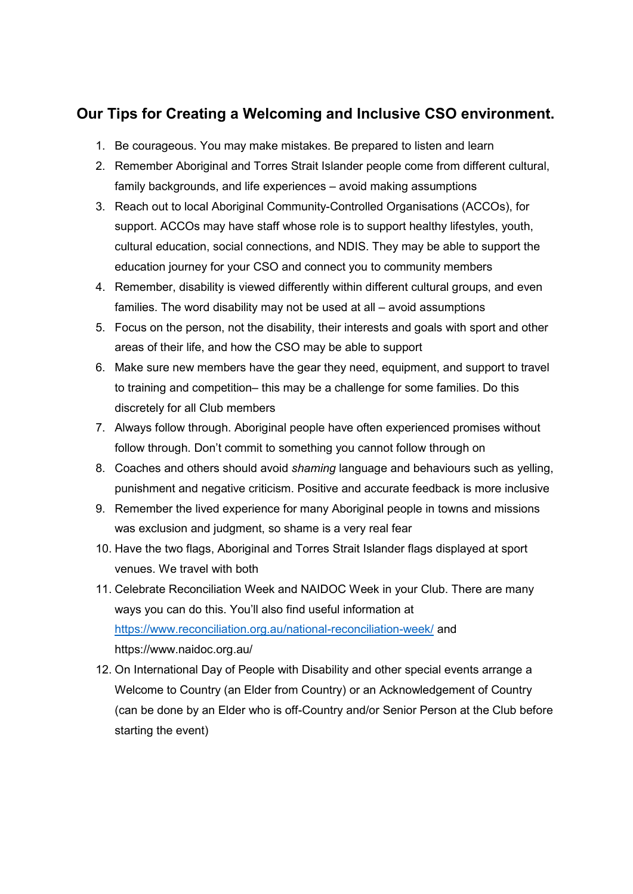## **Our Tips for Creating a Welcoming and Inclusive CSO environment.**

- 1. Be courageous. You may make mistakes. Be prepared to listen and learn
- 2. Remember Aboriginal and Torres Strait Islander people come from different cultural, family backgrounds, and life experiences – avoid making assumptions
- 3. Reach out to local Aboriginal Community-Controlled Organisations (ACCOs), for support. ACCOs may have staff whose role is to support healthy lifestyles, youth, cultural education, social connections, and NDIS. They may be able to support the education journey for your CSO and connect you to community members
- 4. Remember, disability is viewed differently within different cultural groups, and even families. The word disability may not be used at all – avoid assumptions
- 5. Focus on the person, not the disability, their interests and goals with sport and other areas of their life, and how the CSO may be able to support
- 6. Make sure new members have the gear they need, equipment, and support to travel to training and competition– this may be a challenge for some families. Do this discretely for all Club members
- 7. Always follow through. Aboriginal people have often experienced promises without follow through. Don't commit to something you cannot follow through on
- 8. Coaches and others should avoid *shaming* language and behaviours such as yelling, punishment and negative criticism. Positive and accurate feedback is more inclusive
- 9. Remember the lived experience for many Aboriginal people in towns and missions was exclusion and judgment, so shame is a very real fear
- 10. Have the two flags, Aboriginal and Torres Strait Islander flags displayed at sport venues. We travel with both
- 11. Celebrate Reconciliation Week and NAIDOC Week in your Club. There are many ways you can do this. You'll also find useful information at <https://www.reconciliation.org.au/national-reconciliation-week/> and https://www.naidoc.org.au/
- 12. On International Day of People with Disability and other special events arrange a Welcome to Country (an Elder from Country) or an Acknowledgement of Country (can be done by an Elder who is off-Country and/or Senior Person at the Club before starting the event)